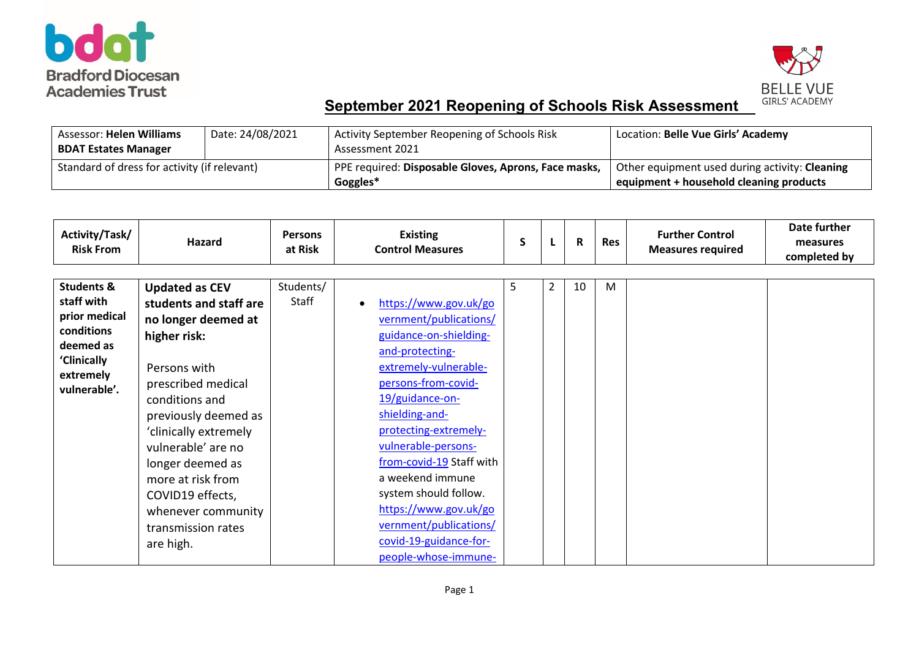



| <b>Assessor: Helen Williams</b>              | Date: 24/08/2021 | Activity September Reopening of Schools Risk         | Location: Belle Vue Girls' Academy             |
|----------------------------------------------|------------------|------------------------------------------------------|------------------------------------------------|
| <b>BDAT Estates Manager</b>                  |                  | Assessment 2021                                      |                                                |
| Standard of dress for activity (if relevant) |                  | PPE required: Disposable Gloves, Aprons, Face masks, | Other equipment used during activity: Cleaning |
|                                              |                  | Goggles*                                             | equipment + household cleaning products        |

| Activity/Task/<br><b>Risk From</b>                                                                                          | <b>Hazard</b>                                                                                                                                                                                                                                                                                                                               | <b>Persons</b><br>at Risk | <b>Existing</b><br><b>Control Measures</b>                                                                                                                                                                                                                                                                                                                                                                      | S  | L              | R  | <b>Res</b> | <b>Further Control</b><br><b>Measures required</b> | Date further<br>measures<br>completed by |
|-----------------------------------------------------------------------------------------------------------------------------|---------------------------------------------------------------------------------------------------------------------------------------------------------------------------------------------------------------------------------------------------------------------------------------------------------------------------------------------|---------------------------|-----------------------------------------------------------------------------------------------------------------------------------------------------------------------------------------------------------------------------------------------------------------------------------------------------------------------------------------------------------------------------------------------------------------|----|----------------|----|------------|----------------------------------------------------|------------------------------------------|
| <b>Students &amp;</b><br>staff with<br>prior medical<br>conditions<br>deemed as<br>'Clinically<br>extremely<br>vulnerable'. | <b>Updated as CEV</b><br>students and staff are<br>no longer deemed at<br>higher risk:<br>Persons with<br>prescribed medical<br>conditions and<br>previously deemed as<br>'clinically extremely<br>vulnerable' are no<br>longer deemed as<br>more at risk from<br>COVID19 effects,<br>whenever community<br>transmission rates<br>are high. | Students/<br><b>Staff</b> | https://www.gov.uk/go<br>vernment/publications/<br>guidance-on-shielding-<br>and-protecting-<br>extremely-vulnerable-<br>persons-from-covid-<br>19/guidance-on-<br>shielding-and-<br>protecting-extremely-<br>vulnerable-persons-<br>from-covid-19 Staff with<br>a weekend immune<br>system should follow.<br>https://www.gov.uk/go<br>vernment/publications/<br>covid-19-guidance-for-<br>people-whose-immune- | 5. | $\overline{2}$ | 10 | M          |                                                    |                                          |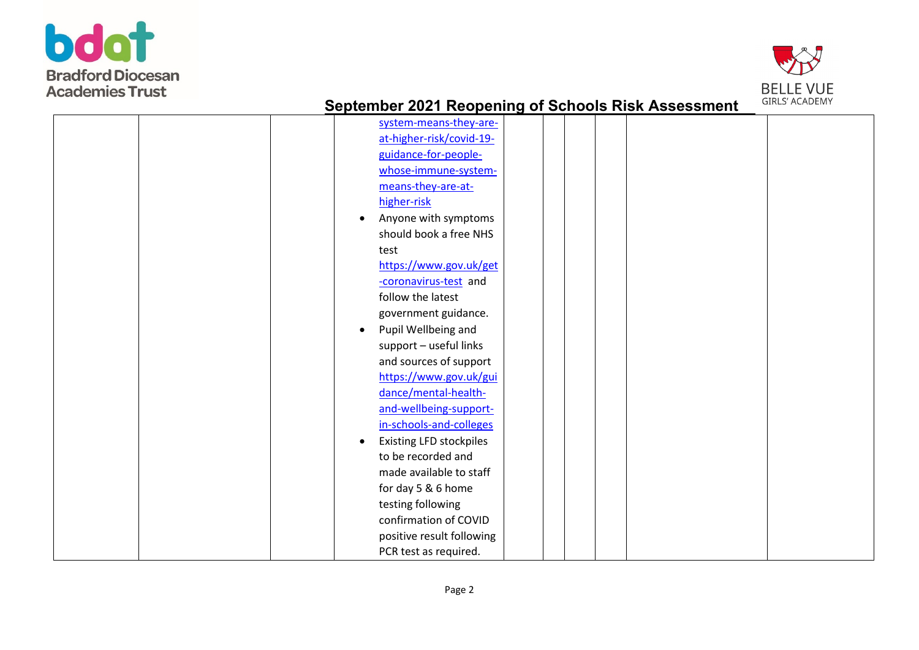



| system-means-they-are-            |
|-----------------------------------|
| at-higher-risk/covid-19-          |
| guidance-for-people-              |
| whose-immune-system-              |
| means-they-are-at-                |
| higher-risk                       |
| Anyone with symptoms<br>$\bullet$ |
| should book a free NHS            |
| test                              |
| https://www.gov.uk/get            |
| -coronavirus-test and             |
| follow the latest                 |
| government guidance.              |
| Pupil Wellbeing and               |
| support - useful links            |
| and sources of support            |
| https://www.gov.uk/gui            |
| dance/mental-health-              |
| and-wellbeing-support-            |
| in-schools-and-colleges           |
| <b>Existing LFD stockpiles</b>    |
| to be recorded and                |
| made available to staff           |
|                                   |
| for day 5 & 6 home                |
| testing following                 |
| confirmation of COVID             |
| positive result following         |
| PCR test as required.             |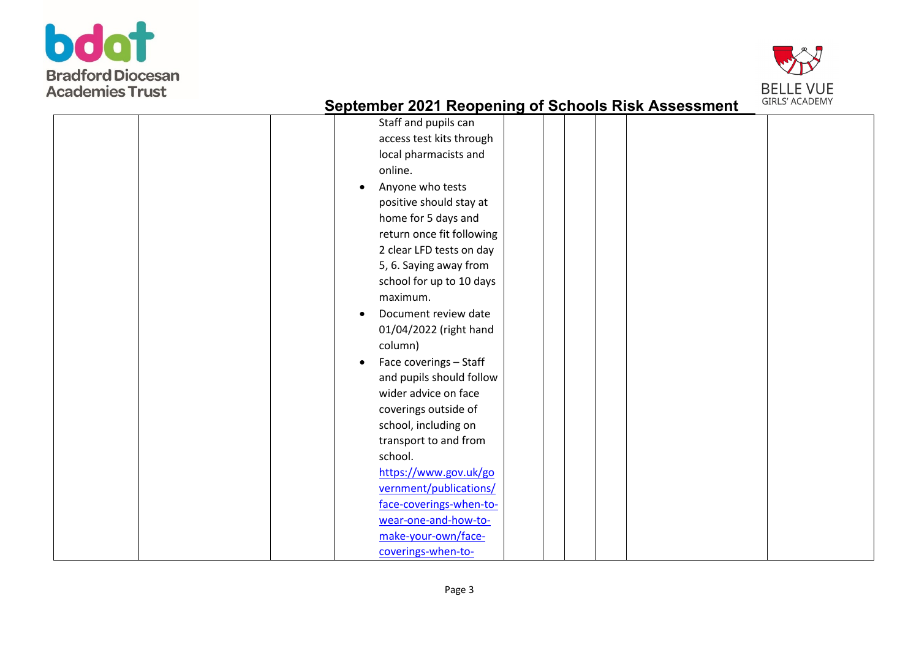



| Staff and pupils can                |
|-------------------------------------|
| access test kits through            |
| local pharmacists and               |
| online.                             |
| Anyone who tests                    |
| positive should stay at             |
| home for 5 days and                 |
| return once fit following           |
| 2 clear LFD tests on day            |
| 5, 6. Saying away from              |
| school for up to 10 days            |
| maximum.                            |
| Document review date<br>$\bullet$   |
| 01/04/2022 (right hand              |
| column)                             |
| Face coverings - Staff<br>$\bullet$ |
| and pupils should follow            |
| wider advice on face                |
| coverings outside of                |
| school, including on                |
| transport to and from               |
| school.                             |
| https://www.gov.uk/go               |
| vernment/publications/              |
| face-coverings-when-to-             |
| wear-one-and-how-to-                |
| make-your-own/face-                 |
| coverings-when-to-                  |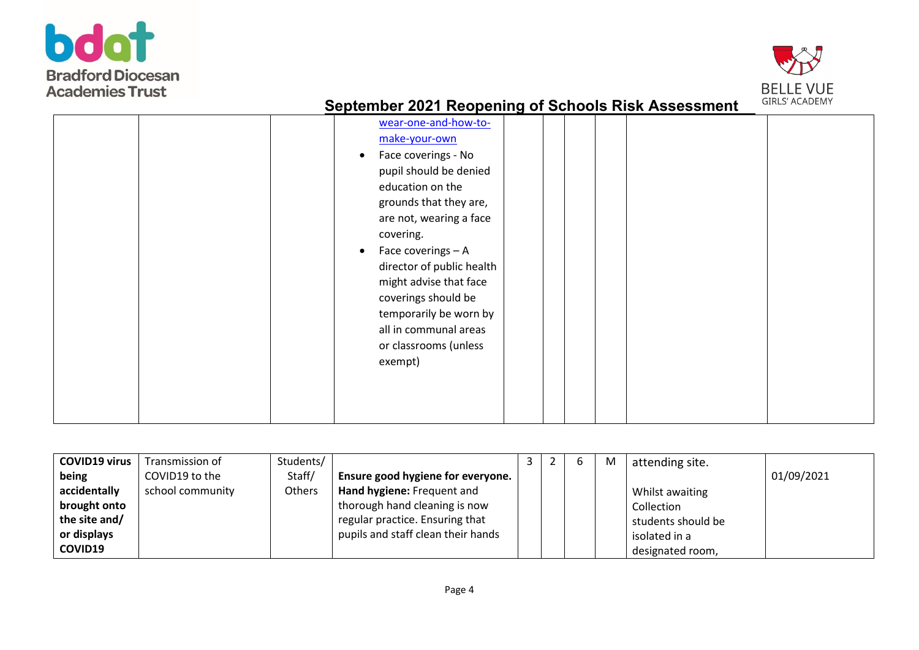



| wear-one-and-how-to-<br>make-your-own<br>Face coverings - No<br>pupil should be denied<br>education on the<br>grounds that they are,<br>are not, wearing a face<br>covering.<br>Face coverings - A<br>director of public health<br>might advise that face |
|-----------------------------------------------------------------------------------------------------------------------------------------------------------------------------------------------------------------------------------------------------------|
|                                                                                                                                                                                                                                                           |
|                                                                                                                                                                                                                                                           |
| coverings should be                                                                                                                                                                                                                                       |
| temporarily be worn by                                                                                                                                                                                                                                    |
| all in communal areas<br>or classrooms (unless                                                                                                                                                                                                            |
| exempt)                                                                                                                                                                                                                                                   |
|                                                                                                                                                                                                                                                           |
|                                                                                                                                                                                                                                                           |
|                                                                                                                                                                                                                                                           |

| <b>COVID19 virus</b> | Transmission of  | Students/ |                                    |  | b | M | attending site.    |            |
|----------------------|------------------|-----------|------------------------------------|--|---|---|--------------------|------------|
| being                | COVID19 to the   | Staff/    | Ensure good hygiene for everyone.  |  |   |   |                    | 01/09/2021 |
| accidentally         | school community | Others    | Hand hygiene: Frequent and         |  |   |   | Whilst awaiting    |            |
| brought onto         |                  |           | thorough hand cleaning is now      |  |   |   | Collection         |            |
| the site and/        |                  |           | regular practice. Ensuring that    |  |   |   | students should be |            |
| or displays          |                  |           | pupils and staff clean their hands |  |   |   | isolated in a      |            |
| COVID19              |                  |           |                                    |  |   |   | designated room,   |            |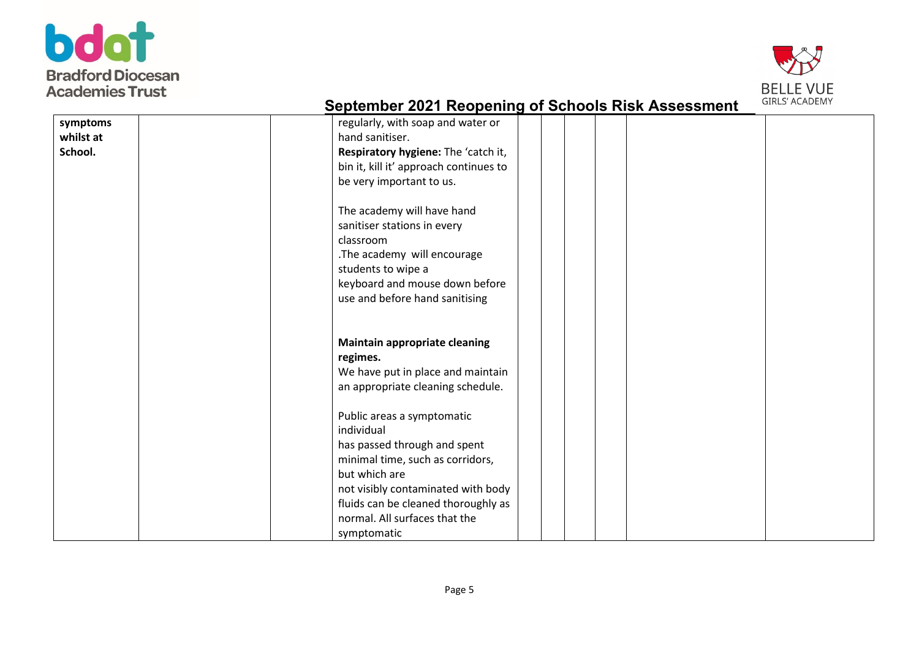



| symptoms  | regularly, with soap and water or      |
|-----------|----------------------------------------|
| whilst at | hand sanitiser.                        |
| School.   | Respiratory hygiene: The 'catch it,    |
|           | bin it, kill it' approach continues to |
|           | be very important to us.               |
|           |                                        |
|           | The academy will have hand             |
|           | sanitiser stations in every            |
|           | classroom                              |
|           | .The academy will encourage            |
|           | students to wipe a                     |
|           | keyboard and mouse down before         |
|           | use and before hand sanitising         |
|           |                                        |
|           |                                        |
|           | Maintain appropriate cleaning          |
|           | regimes.                               |
|           | We have put in place and maintain      |
|           | an appropriate cleaning schedule.      |
|           |                                        |
|           | Public areas a symptomatic             |
|           | individual                             |
|           | has passed through and spent           |
|           | minimal time, such as corridors,       |
|           | but which are                          |
|           | not visibly contaminated with body     |
|           | fluids can be cleaned thoroughly as    |
|           | normal. All surfaces that the          |
|           | symptomatic                            |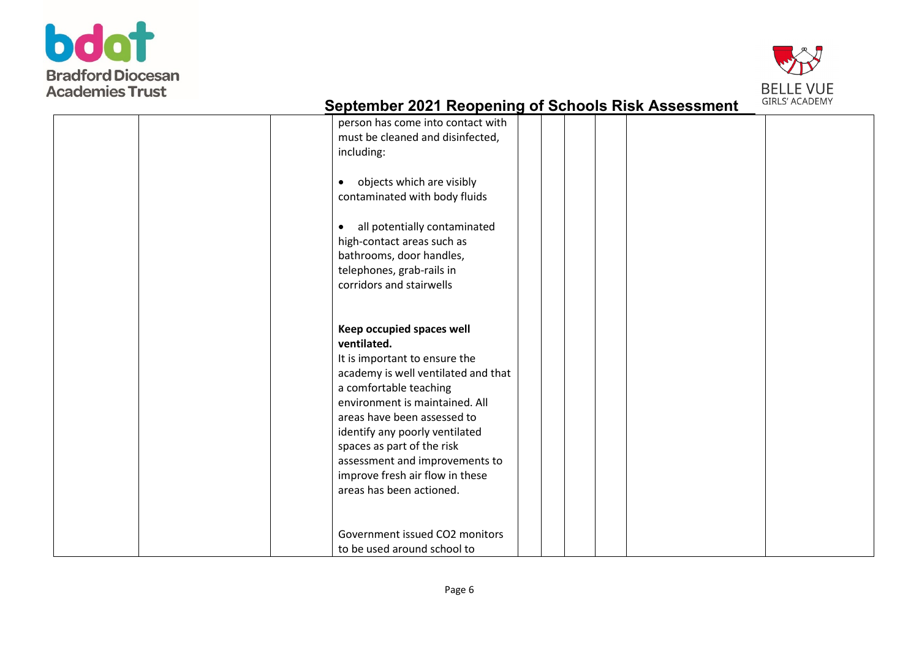



| <b>Promised Ford Treepening of Sensors Rich Accessingin</b>                                                                                                    |  |
|----------------------------------------------------------------------------------------------------------------------------------------------------------------|--|
| person has come into contact with<br>must be cleaned and disinfected,<br>including:<br>objects which are visibly<br>$\bullet$<br>contaminated with body fluids |  |
| all potentially contaminated<br>$\bullet$                                                                                                                      |  |
| high-contact areas such as                                                                                                                                     |  |
| bathrooms, door handles,                                                                                                                                       |  |
| telephones, grab-rails in                                                                                                                                      |  |
| corridors and stairwells                                                                                                                                       |  |
| Keep occupied spaces well                                                                                                                                      |  |
| ventilated.                                                                                                                                                    |  |
| It is important to ensure the                                                                                                                                  |  |
| academy is well ventilated and that                                                                                                                            |  |
| a comfortable teaching                                                                                                                                         |  |
| environment is maintained. All                                                                                                                                 |  |
| areas have been assessed to                                                                                                                                    |  |
| identify any poorly ventilated                                                                                                                                 |  |
| spaces as part of the risk                                                                                                                                     |  |
| assessment and improvements to                                                                                                                                 |  |
| improve fresh air flow in these                                                                                                                                |  |
| areas has been actioned.                                                                                                                                       |  |
|                                                                                                                                                                |  |
|                                                                                                                                                                |  |
| Government issued CO2 monitors                                                                                                                                 |  |
| to be used around school to                                                                                                                                    |  |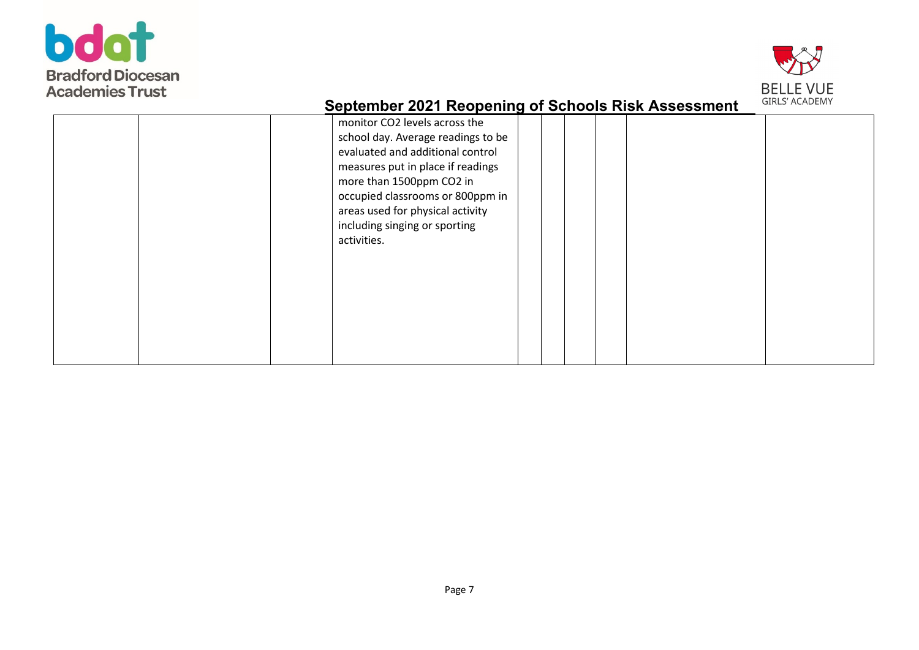



|  | monitor CO2 levels across the<br>school day. Average readings to be<br>evaluated and additional control<br>measures put in place if readings<br>more than 1500ppm CO2 in<br>occupied classrooms or 800ppm in<br>areas used for physical activity<br>including singing or sporting<br>activities. |  |  |  |  |
|--|--------------------------------------------------------------------------------------------------------------------------------------------------------------------------------------------------------------------------------------------------------------------------------------------------|--|--|--|--|
|--|--------------------------------------------------------------------------------------------------------------------------------------------------------------------------------------------------------------------------------------------------------------------------------------------------|--|--|--|--|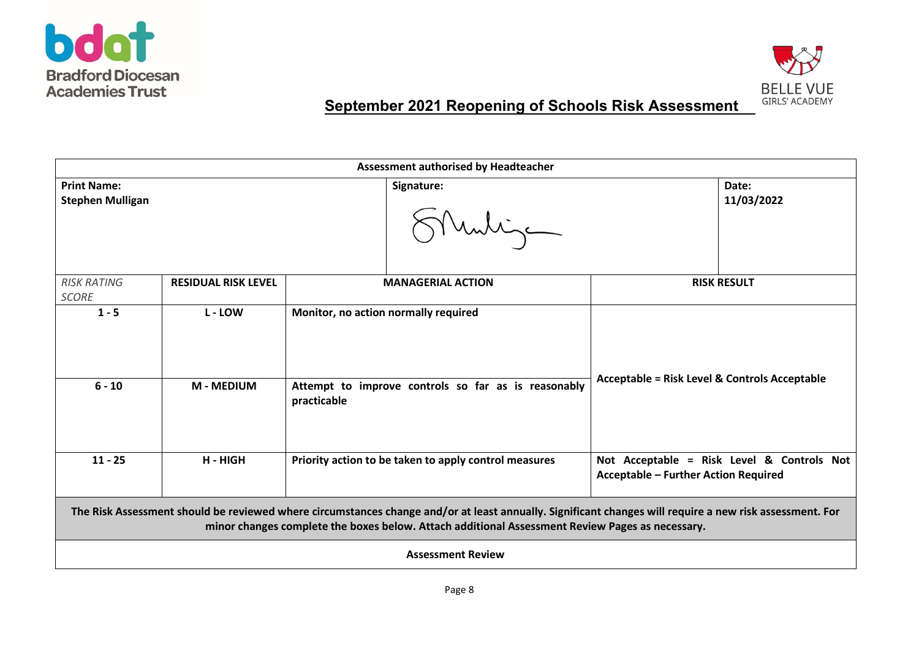



|                                               | Assessment authorised by Headteacher                                                                                                                                                                                                                       |                                                                                                            |                                                          |                                            |  |  |
|-----------------------------------------------|------------------------------------------------------------------------------------------------------------------------------------------------------------------------------------------------------------------------------------------------------------|------------------------------------------------------------------------------------------------------------|----------------------------------------------------------|--------------------------------------------|--|--|
| <b>Print Name:</b><br><b>Stephen Mulligan</b> |                                                                                                                                                                                                                                                            | Signature:<br>Muntigen                                                                                     |                                                          | Date:<br>11/03/2022                        |  |  |
| <b>RISK RATING</b><br><b>SCORE</b>            | <b>RESIDUAL RISK LEVEL</b>                                                                                                                                                                                                                                 | <b>MANAGERIAL ACTION</b>                                                                                   |                                                          | <b>RISK RESULT</b>                         |  |  |
| $1 - 5$<br>$6 - 10$                           | L - LOW<br><b>M-MEDIUM</b>                                                                                                                                                                                                                                 | Monitor, no action normally required<br>Attempt to improve controls so far as is reasonably<br>practicable | <b>Acceptable = Risk Level &amp; Controls Acceptable</b> |                                            |  |  |
| $11 - 25$                                     | H - HIGH                                                                                                                                                                                                                                                   | Priority action to be taken to apply control measures                                                      | <b>Acceptable - Further Action Required</b>              | Not Acceptable = Risk Level & Controls Not |  |  |
|                                               | The Risk Assessment should be reviewed where circumstances change and/or at least annually. Significant changes will require a new risk assessment. For<br>minor changes complete the boxes below. Attach additional Assessment Review Pages as necessary. |                                                                                                            |                                                          |                                            |  |  |
| <b>Assessment Review</b>                      |                                                                                                                                                                                                                                                            |                                                                                                            |                                                          |                                            |  |  |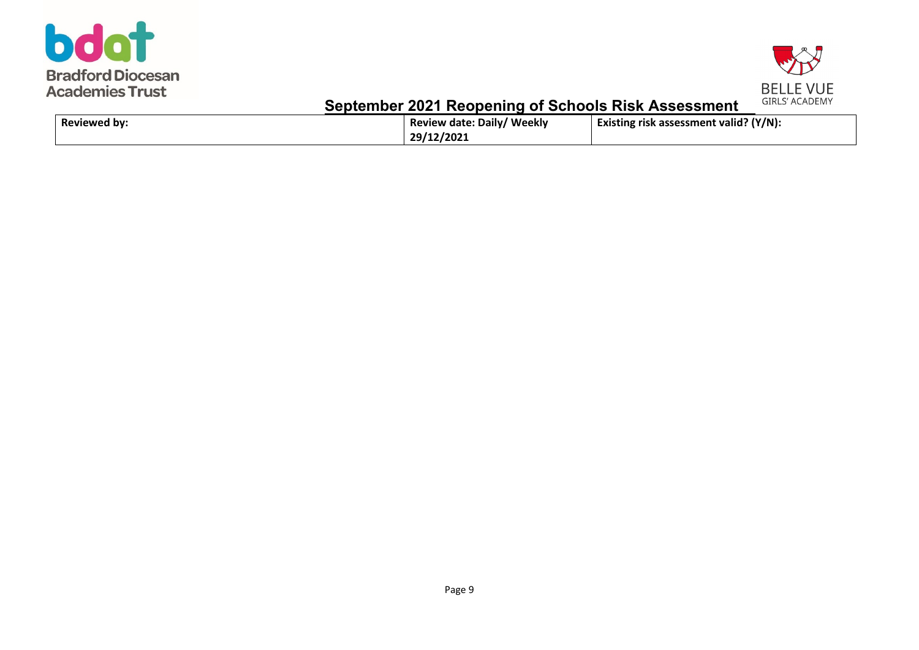



| Reviewed by: | <b>Review date: Daily/ Weekly</b> | Existing risk assessment valid? (Y/N): |
|--------------|-----------------------------------|----------------------------------------|
|              | 29/12/2021                        |                                        |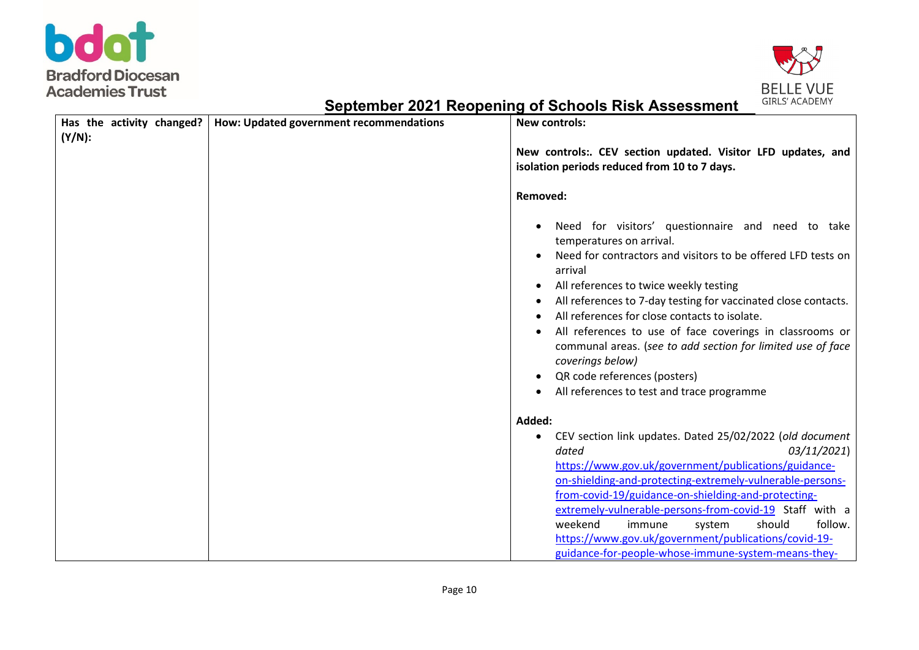



| Has the activity changed? | How: Updated government recommendations | <b>New controls:</b>                                                                                                                                                                                                                                                                                                                                                                                                                                                                                                                               |  |
|---------------------------|-----------------------------------------|----------------------------------------------------------------------------------------------------------------------------------------------------------------------------------------------------------------------------------------------------------------------------------------------------------------------------------------------------------------------------------------------------------------------------------------------------------------------------------------------------------------------------------------------------|--|
| $(Y/N)$ :                 |                                         | New controls:. CEV section updated. Visitor LFD updates, and<br>isolation periods reduced from 10 to 7 days.                                                                                                                                                                                                                                                                                                                                                                                                                                       |  |
|                           |                                         | <b>Removed:</b>                                                                                                                                                                                                                                                                                                                                                                                                                                                                                                                                    |  |
|                           |                                         | Need for visitors' questionnaire and need to take<br>temperatures on arrival.<br>Need for contractors and visitors to be offered LFD tests on<br>arrival<br>All references to twice weekly testing<br>All references to 7-day testing for vaccinated close contacts.<br>All references for close contacts to isolate.<br>All references to use of face coverings in classrooms or<br>communal areas. (see to add section for limited use of face<br>coverings below)<br>QR code references (posters)<br>All references to test and trace programme |  |
|                           |                                         | Added:                                                                                                                                                                                                                                                                                                                                                                                                                                                                                                                                             |  |
|                           |                                         | CEV section link updates. Dated 25/02/2022 (old document<br>dated<br>03/11/2021)<br>https://www.gov.uk/government/publications/guidance-<br>on-shielding-and-protecting-extremely-vulnerable-persons-<br>from-covid-19/guidance-on-shielding-and-protecting-<br>extremely-vulnerable-persons-from-covid-19 Staff with a<br>follow.<br>weekend<br>should<br>immune<br>system<br>https://www.gov.uk/government/publications/covid-19-<br>guidance-for-people-whose-immune-system-means-they-                                                         |  |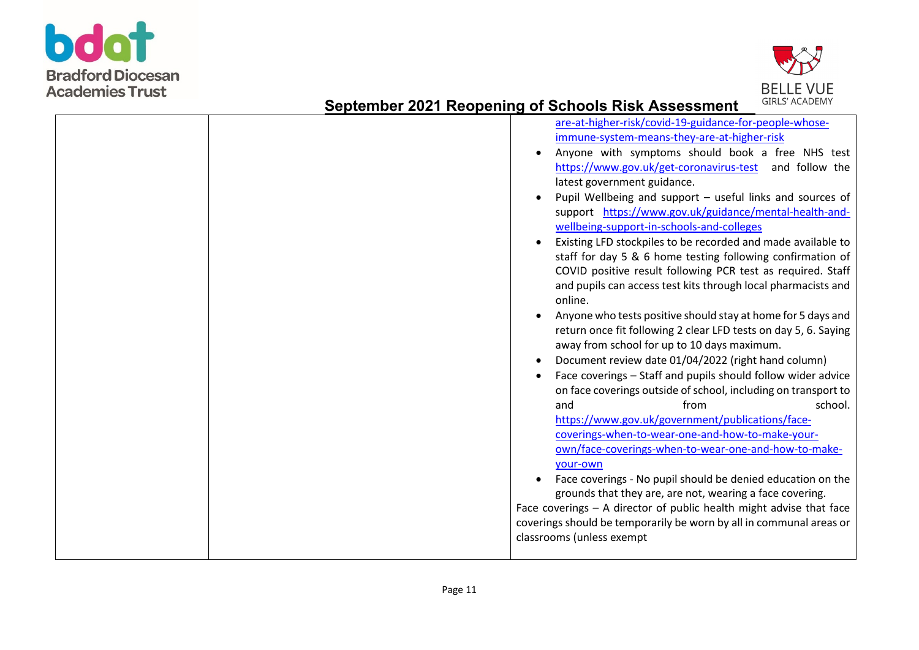



| are-at-higher-risk/covid-19-guidance-for-people-whose-<br>immune-system-means-they-are-at-higher-risk<br>Anyone with symptoms should book a free NHS test<br>https://www.gov.uk/get-coronavirus-test and follow the<br>latest government guidance.<br>Pupil Wellbeing and support - useful links and sources of<br>support https://www.gov.uk/guidance/mental-health-and-<br>wellbeing-support-in-schools-and-colleges<br>Existing LFD stockpiles to be recorded and made available to<br>staff for day 5 & 6 home testing following confirmation of<br>COVID positive result following PCR test as required. Staff<br>and pupils can access test kits through local pharmacists and<br>online.<br>Anyone who tests positive should stay at home for 5 days and<br>return once fit following 2 clear LFD tests on day 5, 6. Saying<br>away from school for up to 10 days maximum.<br>Document review date 01/04/2022 (right hand column)<br>Face coverings - Staff and pupils should follow wider advice<br>on face coverings outside of school, including on transport to<br>and<br>from<br>school.<br>https://www.gov.uk/government/publications/face-<br>coverings-when-to-wear-one-and-how-to-make-your-<br>own/face-coverings-when-to-wear-one-and-how-to-make-<br>vour-own |
|----------------------------------------------------------------------------------------------------------------------------------------------------------------------------------------------------------------------------------------------------------------------------------------------------------------------------------------------------------------------------------------------------------------------------------------------------------------------------------------------------------------------------------------------------------------------------------------------------------------------------------------------------------------------------------------------------------------------------------------------------------------------------------------------------------------------------------------------------------------------------------------------------------------------------------------------------------------------------------------------------------------------------------------------------------------------------------------------------------------------------------------------------------------------------------------------------------------------------------------------------------------------------------|
|                                                                                                                                                                                                                                                                                                                                                                                                                                                                                                                                                                                                                                                                                                                                                                                                                                                                                                                                                                                                                                                                                                                                                                                                                                                                                  |
| Face coverings - No pupil should be denied education on the<br>grounds that they are, are not, wearing a face covering.<br>Face coverings - A director of public health might advise that face<br>coverings should be temporarily be worn by all in communal areas or<br>classrooms (unless exempt                                                                                                                                                                                                                                                                                                                                                                                                                                                                                                                                                                                                                                                                                                                                                                                                                                                                                                                                                                               |